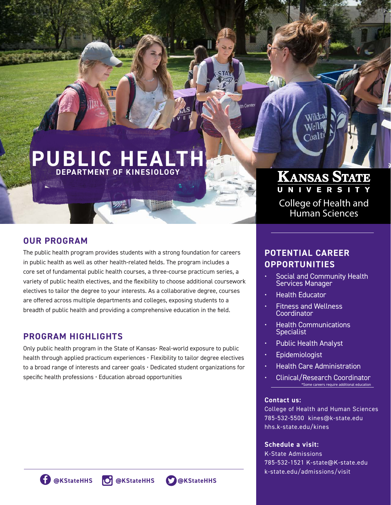# **PUBLIC HEALTH DEPARTMENT OF KINESIOLOGY**

### **OUR PROGRAM**

The public health program provides students with a strong foundation for careers in public health as well as other health-related fields. The program includes a core set of fundamental public health courses, a three-course practicum series, a variety of public health electives, and the flexibility to choose additional coursework electives to tailor the degree to your interests. As a collaborative degree, courses are offered across multiple departments and colleges, exposing students to a breadth of public health and providing a comprehensive education in the field.

### **PROGRAM HIGHLIGHTS**

Only public health program in the State of Kansas• Real-world exposure to public health through applied practicum experiences • Flexibility to tailor degree electives to a broad range of interests and career goals • Dedicated student organizations for specific health professions • Education abroad opportunities

## College of Health and Human Sciences

KANSAS STATE

## **POTENTIAL CAREER OPPORTUNITIES**

- Social and Community Health Services Manager
- Health Educator

th Center

- Fitness and Wellness Coordinator
- Health Communications **Specialist**
- Public Health Analyst
- **Epidemiologist**
- Health Care Administration
- Clinical/Research Coordinator \*Some careers require additional education

### **Contact us:**

College of Health and Human Sciences 785-532-5500 kines@k-state.edu hhs.k-state.edu/kines

### **Schedule a visit:**

K-State Admissions 785-532-1521 K-state@K-state.edu k-state.edu/admissions/visit